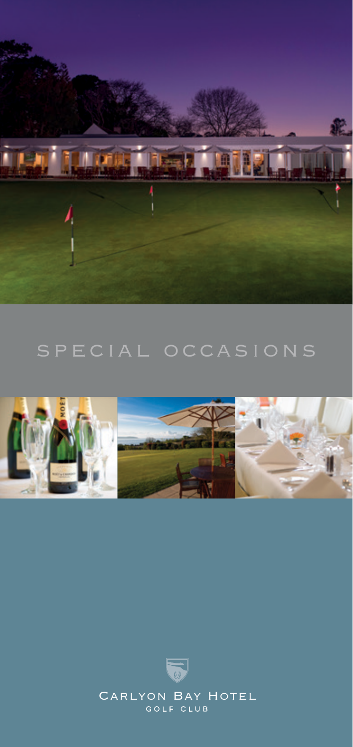



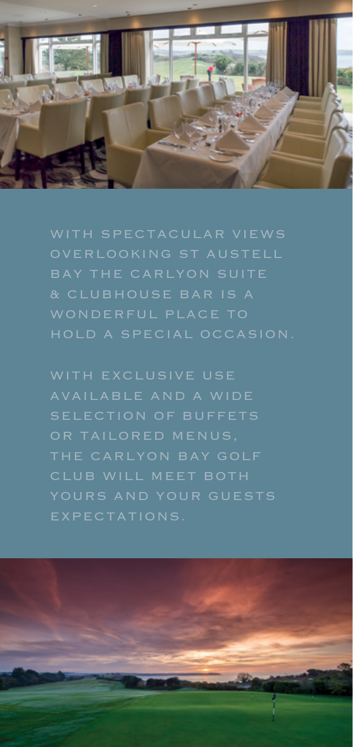

OVERLOOKING ST AUSTELL & CLUBHOUSE BAR IS A HOLD A SPECIAL OCCASION.

WITH EXCLUSIVE USE AVAILABLE AND A WIDE SELECTION OF BUFFETS CLUB WILL MEET BOTH EXPECTATIONS.

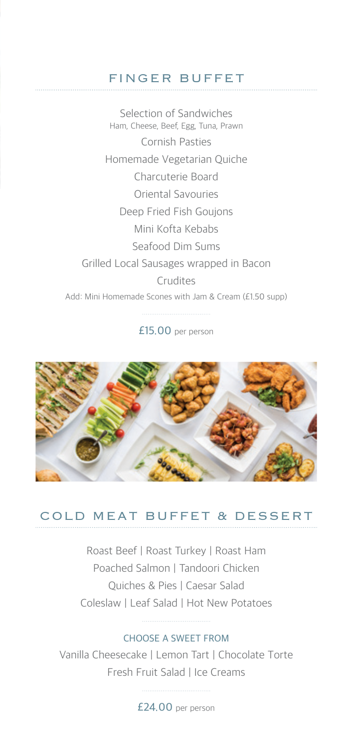# FINGER BUFFET

Selection of Sandwiches Ham, Cheese, Beef, Egg, Tuna, Prawn Cornish Pasties Homemade Vegetarian Quiche Charcuterie Board Oriental Savouries Deep Fried Fish Goujons Mini Kofta Kebabs Seafood Dim Sums Grilled Local Sausages wrapped in Bacon Crudites Add: Mini Homemade Scones with Jam & Cream (£1.50 supp)

£15.00 per person



## COLD MEAT BUFFET & DESSERT

Roast Beef | Roast Turkey | Roast Ham Poached Salmon | Tandoori Chicken Quiches & Pies | Caesar Salad Coleslaw | Leaf Salad | Hot New Potatoes

#### CHOOSE A SWEET FROM

Vanilla Cheesecake | Lemon Tart | Chocolate Torte Fresh Fruit Salad | Ice Creams

£24.00 per person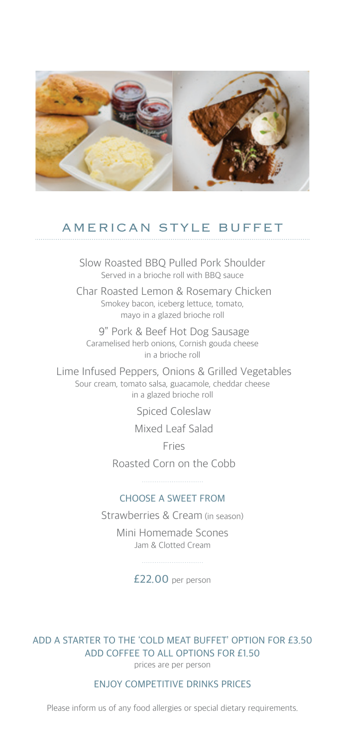

## AMERICAN STYLE BUFFET

Slow Roasted BBQ Pulled Pork Shoulder Served in a brioche roll with BBQ sauce

 Char Roasted Lemon & Rosemary Chicken Smokey bacon, iceberg lettuce, tomato, mayo in a glazed brioche roll

 9" Pork & Beef Hot Dog Sausage Caramelised herb onions, Cornish gouda cheese in a brioche roll

 Lime Infused Peppers, Onions & Grilled Vegetables Sour cream, tomato salsa, guacamole, cheddar cheese in a glazed brioche roll

Spiced Coleslaw

Mixed Leaf Salad

Fries

 Roasted Corn on the Cobb 

#### CHOOSE A SWEET FROM

Strawberries & Cream (in season) Mini Homemade Scones Jam & Clotted Cream

£22.00 per person

ADD A STARTER TO THE 'COLD MEAT BUFFET' OPTION FOR £3.50 ADD COFFEE TO ALL OPTIONS FOR £1.50 prices are per person

ENJOY COMPETITIVE DRINKS PRICES

Please inform us of any food allergies or special dietary requirements.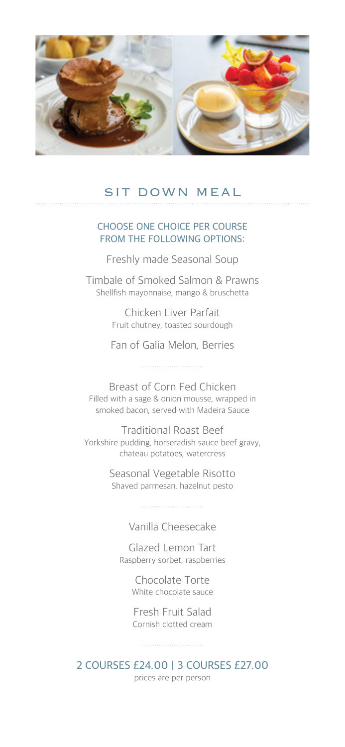

## SIT DOWN MEAL

#### CHOOSE ONE CHOICE PER COURSE FROM THE FOLLOWING OPTIONS:

Freshly made Seasonal Soup

Timbale of Smoked Salmon & Prawns Shellfish mayonnaise, mango & bruschetta

> Chicken Liver Parfait Fruit chutney, toasted sourdough

Fan of Galia Melon, Berries

Breast of Corn Fed Chicken Filled with a sage & onion mousse, wrapped in smoked bacon, served with Madeira Sauce

Traditional Roast Beef Yorkshire pudding, horseradish sauce beef gravy, chateau potatoes, watercress

> Seasonal Vegetable Risotto Shaved parmesan, hazelnut pesto

> > Vanilla Cheesecake

Glazed Lemon Tart Raspberry sorbet, raspberries

> Chocolate Torte White chocolate sauce

Fresh Fruit Salad Cornish clotted cream

2 COURSES £24.00 | 3 COURSES £27.00 prices are per person